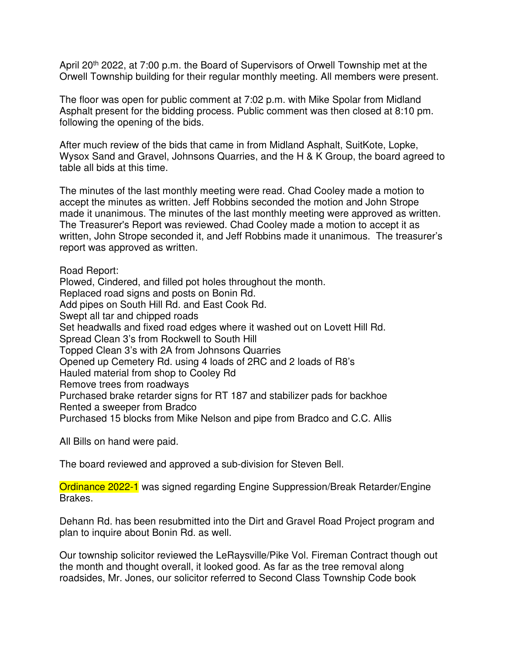April 20<sup>th</sup> 2022, at 7:00 p.m. the Board of Supervisors of Orwell Township met at the Orwell Township building for their regular monthly meeting. All members were present.

The floor was open for public comment at 7:02 p.m. with Mike Spolar from Midland Asphalt present for the bidding process. Public comment was then closed at 8:10 pm. following the opening of the bids.

After much review of the bids that came in from Midland Asphalt, SuitKote, Lopke, Wysox Sand and Gravel, Johnsons Quarries, and the H & K Group, the board agreed to table all bids at this time.

The minutes of the last monthly meeting were read. Chad Cooley made a motion to accept the minutes as written. Jeff Robbins seconded the motion and John Strope made it unanimous. The minutes of the last monthly meeting were approved as written. The Treasurer's Report was reviewed. Chad Cooley made a motion to accept it as written, John Strope seconded it, and Jeff Robbins made it unanimous. The treasurer's report was approved as written.

Road Report:

Plowed, Cindered, and filled pot holes throughout the month. Replaced road signs and posts on Bonin Rd. Add pipes on South Hill Rd. and East Cook Rd. Swept all tar and chipped roads Set headwalls and fixed road edges where it washed out on Lovett Hill Rd. Spread Clean 3's from Rockwell to South Hill Topped Clean 3's with 2A from Johnsons Quarries Opened up Cemetery Rd. using 4 loads of 2RC and 2 loads of R8's Hauled material from shop to Cooley Rd Remove trees from roadways Purchased brake retarder signs for RT 187 and stabilizer pads for backhoe Rented a sweeper from Bradco Purchased 15 blocks from Mike Nelson and pipe from Bradco and C.C. Allis

All Bills on hand were paid.

The board reviewed and approved a sub-division for Steven Bell.

Ordinance 2022-1 was signed regarding Engine Suppression/Break Retarder/Engine Brakes.

Dehann Rd. has been resubmitted into the Dirt and Gravel Road Project program and plan to inquire about Bonin Rd. as well.

Our township solicitor reviewed the LeRaysville/Pike Vol. Fireman Contract though out the month and thought overall, it looked good. As far as the tree removal along roadsides, Mr. Jones, our solicitor referred to Second Class Township Code book